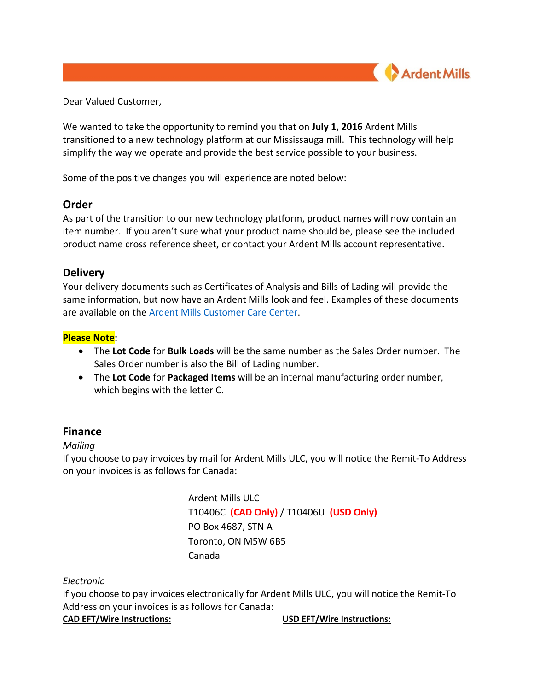

Dear Valued Customer,

We wanted to take the opportunity to remind you that on **July 1, 2016** Ardent Mills transitioned to a new technology platform at our Mississauga mill. This technology will help simplify the way we operate and provide the best service possible to your business.

Some of the positive changes you will experience are noted below:

# **Order**

As part of the transition to our new technology platform, product names will now contain an item number. If you aren't sure what your product name should be, please see the included product name cross reference sheet, or contact your Ardent Mills account representative.

# **Delivery**

Your delivery documents such as Certificates of Analysis and Bills of Lading will provide the same information, but now have an Ardent Mills look and feel. Examples of these documents are available on the [Ardent Mills Customer Care Center.](http://www.ardentmills.com/one-ardent.html)

# **Please Note:**

- The **Lot Code** for **Bulk Loads** will be the same number as the Sales Order number. The Sales Order number is also the Bill of Lading number.
- The **Lot Code** for **Packaged Items** will be an internal manufacturing order number, which begins with the letter C.

# **Finance**

## *Mailing*

If you choose to pay invoices by mail for Ardent Mills ULC, you will notice the Remit-To Address on your invoices is as follows for Canada:

> Ardent Mills ULC T10406C **(CAD Only)** / T10406U **(USD Only)** PO Box 4687, STN A Toronto, ON M5W 6B5 Canada

## *Electronic*

If you choose to pay invoices electronically for Ardent Mills ULC, you will notice the Remit-To Address on your invoices is as follows for Canada:

**CAD EFT/Wire Instructions: USD EFT/Wire Instructions:**